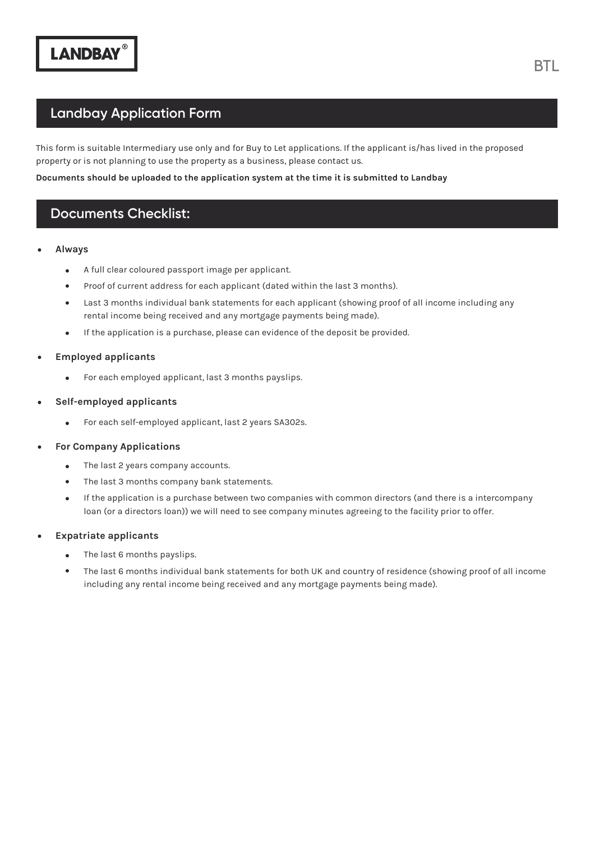### **Landbay Application Form**

This form is suitable Intermediary use only and for Buy to Let applications. If the applicant is/has lived in the proposed property or is not planning to use the property as a business, please contact us.

#### **Documents should be uploaded to the application system at the time it is submitted to Landbay**

### **Documents Checklist:**

#### **Always**

- A full clear coloured passport image per applicant.  $\bullet$
- Proof of current address for each applicant (dated within the last 3 months).  $\bullet$
- Last 3 months individual bank statements for each applicant (showing proof of all income including any rental income being received and any mortgage payments being made).
- If the application is a purchase, please can evidence of the deposit be provided.  $\bullet$

#### **Employed applicants**

- For each employed applicant, last 3 months payslips.  $\bullet$
- **Self-employed applicants**
	- For each self-employed applicant, last 2 years SA302s.  $\bullet$
- **For Company Applications**
	- $\bullet$ The last 2 years company accounts.
	- The last 3 months company bank statements.
	- $\bullet$ If the application is a purchase between two companies with common directors (and there is a intercompany loan (or a directors loan)) we will need to see company minutes agreeing to the facility prior to offer.

#### **Expatriate applicants**

- The last 6 months payslips.  $\bullet$
- The last 6 months individual bank statements for both UK and country of residence (showing proof of all income including any rental income being received and any mortgage payments being made).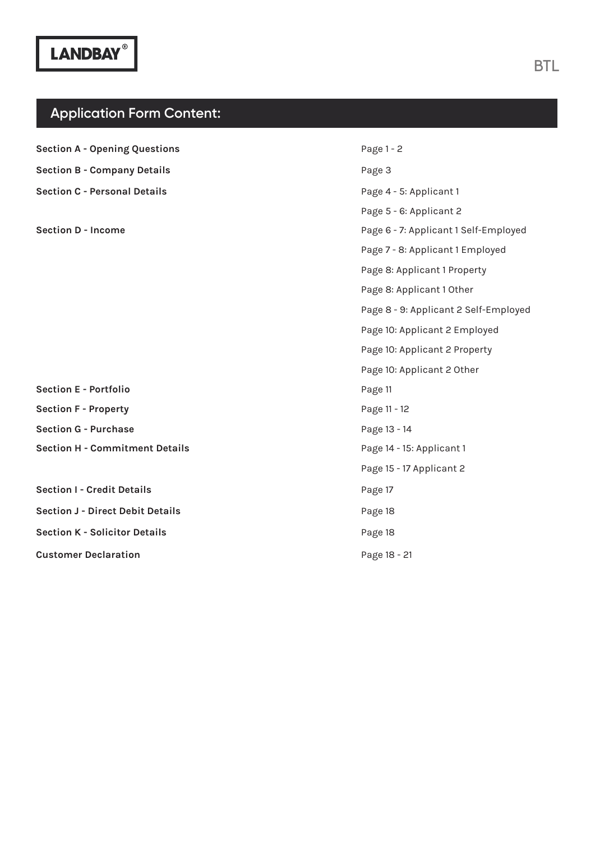### **Application Form Content:**

**Section A - Opening Questions Section E - Portfolio Section F - Property Section G - Purchase Section I - Credit Details Section J - Direct Debit Details Section K - Solicitor Details Customer Declaration Section H - Commitment Details Section B - Company Details Section C - Personal Details Section D - Income**  Page 1 - 2 Page 11 Page 11 - 12 Page 13 - 14 Page 17 Page 18 Page 18 Page 18 - 21 Page 14 - 15: Applicant 1 Page 15 - 17 Applicant 2 Page 3 Page 4 - 5: Applicant 1 Page 5 - 6: Applicant 2 Page 6 - 7: Applicant 1 Self-Employed Page 7 - 8: Applicant 1 Employed Page 8: Applicant 1 Property Page 8: Applicant 1 Other Page 8 - 9: Applicant 2 Self-Employed Page 10: Applicant 2 Employed Page 10: Applicant 2 Property Page 10: Applicant 2 Other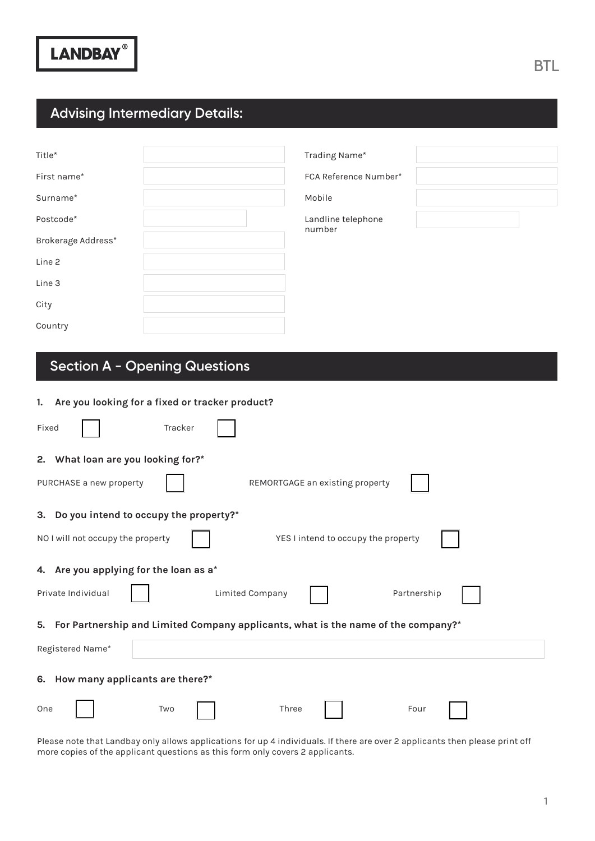## **Advising Intermediary Details:**

| Title*             |  |
|--------------------|--|
| First name*        |  |
| Surname*           |  |
| Postcode*          |  |
| Brokerage Address* |  |
| Line <sub>2</sub>  |  |
| Line 3             |  |
| City               |  |
| Country            |  |

FCA Reference Number\*

Mobile

Landline telephone number

# **Section A - Opening Questions**

#### **1. Are you looking for a fixed or tracker product?**

| Fixed<br>Tracker                          |                                                                                      |  |
|-------------------------------------------|--------------------------------------------------------------------------------------|--|
| 2. What loan are you looking for?*        |                                                                                      |  |
| PURCHASE a new property                   | REMORTGAGE an existing property                                                      |  |
| 3. Do you intend to occupy the property?* |                                                                                      |  |
| NO I will not occupy the property         | YES I intend to occupy the property                                                  |  |
| 4. Are you applying for the loan as a*    |                                                                                      |  |
| Private Individual                        | Limited Company<br>Partnership                                                       |  |
|                                           | 5. For Partnership and Limited Company applicants, what is the name of the company?* |  |
| Registered Name*                          |                                                                                      |  |
| 6. How many applicants are there?*        |                                                                                      |  |
| Two<br>One                                | Three<br>Four                                                                        |  |

Please note that Landbay only allows applications for up 4 individuals. If there are over 2 applicants then please print off more copies of the applicant questions as this form only covers 2 applicants.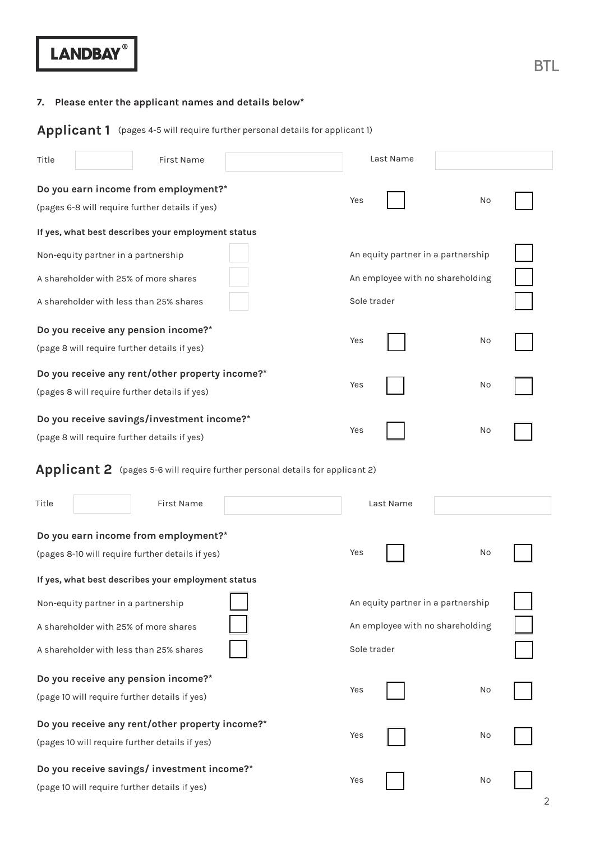### **7. Please enter the applicant names and details below\***

**Applicant 1** (pages 4-5 will require further personal details for applicant 1)

| Title |                                     | First Name                                                                              |                                                                                      |             | Last Name                          |                                  |  |
|-------|-------------------------------------|-----------------------------------------------------------------------------------------|--------------------------------------------------------------------------------------|-------------|------------------------------------|----------------------------------|--|
|       |                                     | Do you earn income from employment?*<br>(pages 6-8 will require further details if yes) |                                                                                      | Yes         |                                    | No                               |  |
|       |                                     | If yes, what best describes your employment status                                      |                                                                                      |             |                                    |                                  |  |
|       | Non-equity partner in a partnership |                                                                                         |                                                                                      |             | An equity partner in a partnership |                                  |  |
|       |                                     | A shareholder with 25% of more shares                                                   |                                                                                      |             |                                    | An employee with no shareholding |  |
|       |                                     | A shareholder with less than 25% shares                                                 |                                                                                      | Sole trader |                                    |                                  |  |
|       |                                     | Do you receive any pension income?*                                                     |                                                                                      |             |                                    |                                  |  |
|       |                                     | (page 8 will require further details if yes)                                            |                                                                                      | Yes         |                                    | No                               |  |
|       |                                     | Do you receive any rent/other property income?*                                         |                                                                                      |             |                                    |                                  |  |
|       |                                     | (pages 8 will require further details if yes)                                           |                                                                                      | Yes         |                                    | No                               |  |
|       |                                     | Do you receive savings/investment income?*                                              |                                                                                      | Yes         |                                    | No                               |  |
|       |                                     | (page 8 will require further details if yes)                                            |                                                                                      |             |                                    |                                  |  |
|       |                                     |                                                                                         | <b>Applicant 2</b> (pages 5-6 will require further personal details for applicant 2) |             |                                    |                                  |  |
|       |                                     |                                                                                         |                                                                                      |             |                                    |                                  |  |
| Title |                                     | First Name                                                                              |                                                                                      |             | Last Name                          |                                  |  |
|       |                                     | Do you earn income from employment?*                                                    |                                                                                      |             |                                    |                                  |  |
|       |                                     | (pages 8-10 will require further details if yes)                                        |                                                                                      | Yes         |                                    | No                               |  |
|       |                                     | If yes, what best describes your employment status                                      |                                                                                      |             |                                    |                                  |  |
|       | Non-equity partner in a partnership |                                                                                         |                                                                                      |             | An equity partner in a partnership |                                  |  |
|       |                                     | A shareholder with 25% of more shares                                                   |                                                                                      |             |                                    | An employee with no shareholding |  |
|       |                                     | A shareholder with less than 25% shares                                                 |                                                                                      | Sole trader |                                    |                                  |  |
|       |                                     | Do you receive any pension income?*                                                     |                                                                                      |             |                                    |                                  |  |
|       |                                     | (page 10 will require further details if yes)                                           |                                                                                      | Yes         |                                    | No                               |  |
|       |                                     | Do you receive any rent/other property income?*                                         |                                                                                      |             |                                    |                                  |  |
|       |                                     | (pages 10 will require further details if yes)                                          |                                                                                      | Yes         |                                    | No                               |  |
|       |                                     | Do you receive savings/ investment income?*                                             |                                                                                      | Yes         |                                    | No                               |  |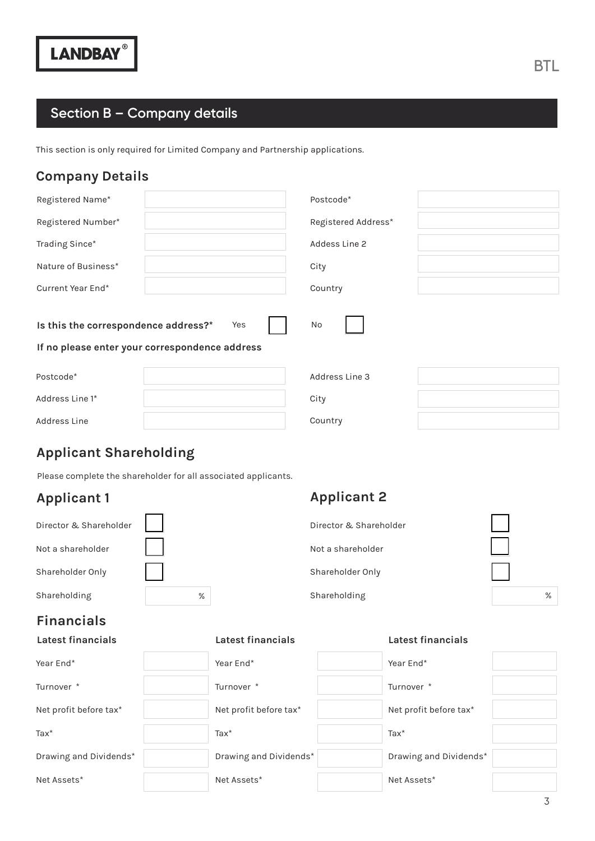# **Section B – Company details**

This section is only required for Limited Company and Partnership applications.

### **Company Details**

| Registered Name*                                                                                    | Postcode*           |  |  |
|-----------------------------------------------------------------------------------------------------|---------------------|--|--|
| Registered Number*                                                                                  | Registered Address* |  |  |
| Trading Since*                                                                                      | Addess Line 2       |  |  |
| Nature of Business*                                                                                 | City                |  |  |
| Current Year End*                                                                                   | Country             |  |  |
| Is this the correspondence address?*<br>No<br>Yes<br>If no please enter your correspondence address |                     |  |  |
| Postcode*                                                                                           | Address Line 3      |  |  |
| Address Line 1*                                                                                     | City                |  |  |
| Address Line                                                                                        | Country             |  |  |

### **Applicant Shareholding**

Please complete the shareholder for all associated applicants.

### **Applicant 1**

| Director & Shareholder |  |
|------------------------|--|
| Not a shareholder      |  |
| Shareholder Only       |  |
| Shareholding           |  |

### **Applicant 2**

|   | Director & Shareholder |      |
|---|------------------------|------|
|   | Not a shareholder      |      |
|   | Shareholder Only       |      |
| % | Shareholding           | $\%$ |

### **Financials**

#### **Latest financials Latest financials Latest financials**

| Year End*              | Year End*              | Year End*              |  |
|------------------------|------------------------|------------------------|--|
| Turnover *             | Turnover *             | Turnover <sup>*</sup>  |  |
| Net profit before tax* | Net profit before tax* | Net profit before tax* |  |
| $\text{Tax*}$          | $\text{Tax}^*$         | $\text{Tax*}$          |  |
| Drawing and Dividends* | Drawing and Dividends* | Drawing and Dividends* |  |
| Net Assets*            | Net Assets*            | Net Assets*            |  |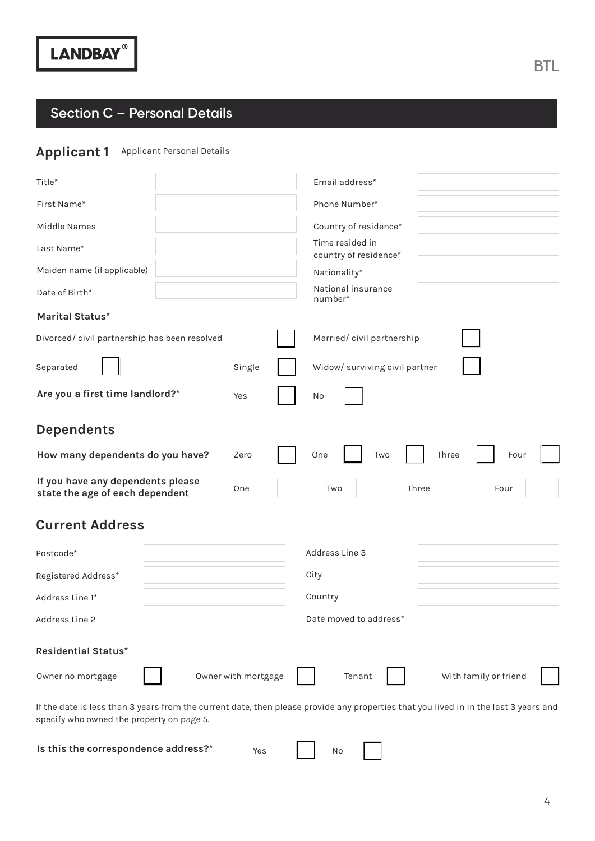# **Section C – Personal Details**

### Applicant 1 Applicant Personal Details

| Title*                                                                      | Email address*                                                                                                                       |
|-----------------------------------------------------------------------------|--------------------------------------------------------------------------------------------------------------------------------------|
| First Name*                                                                 | Phone Number*                                                                                                                        |
| Middle Names                                                                | Country of residence*                                                                                                                |
| Last Name*                                                                  | Time resided in<br>country of residence*                                                                                             |
| Maiden name (if applicable)                                                 | Nationality*                                                                                                                         |
| Date of Birth*                                                              | National insurance<br>number*                                                                                                        |
| Marital Status*                                                             |                                                                                                                                      |
| Divorced/civil partnership has been resolved                                | Married/civil partnership                                                                                                            |
| Separated<br>Single                                                         | Widow/ surviving civil partner                                                                                                       |
| Are you a first time landlord?*<br>Yes                                      | No                                                                                                                                   |
| <b>Dependents</b>                                                           |                                                                                                                                      |
| How many dependents do you have?<br>Zero                                    | One<br>Two<br>Three<br>Four                                                                                                          |
| If you have any dependents please<br>One<br>state the age of each dependent | Three<br>Four<br>Two                                                                                                                 |
| <b>Current Address</b>                                                      |                                                                                                                                      |
| Postcode*                                                                   | Address Line 3                                                                                                                       |
| Registered Address*                                                         | City                                                                                                                                 |
| Address Line 1*                                                             | Country                                                                                                                              |
| Address Line 2                                                              | Date moved to address*                                                                                                               |
| <b>Residential Status*</b>                                                  |                                                                                                                                      |
| Owner with mortgage<br>Owner no mortgage                                    | With family or friend<br>Tenant                                                                                                      |
| specify who owned the property on page 5.                                   | If the date is less than 3 years from the current date, then please provide any properties that you lived in in the last 3 years and |

**Is this the correspondence address?\***

No

Yes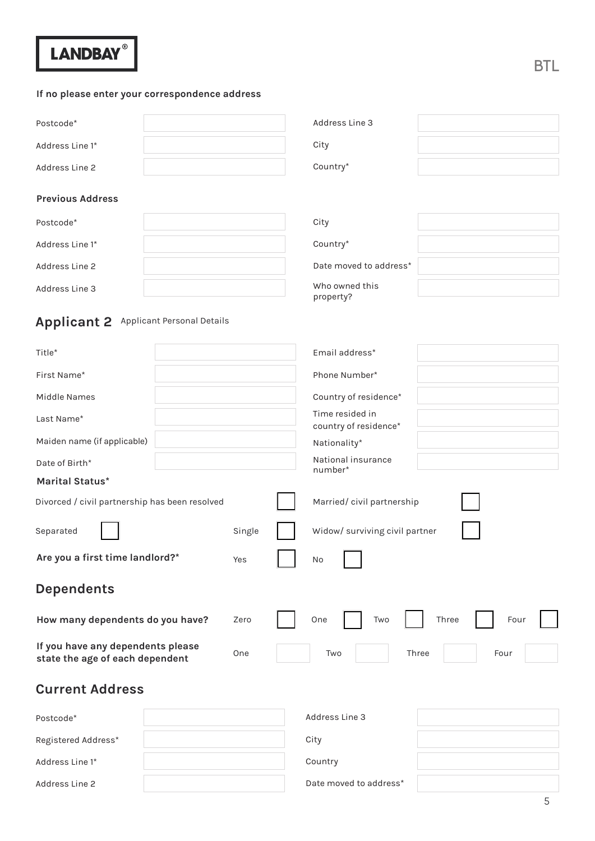#### **If no please enter your correspondence address**

| Postcode*       | Address Line 3 |  |
|-----------------|----------------|--|
| Address Line 1* | City           |  |
| Address Line 2  | Country*       |  |

#### **Previous Address**

| Postcode*       | City                        |
|-----------------|-----------------------------|
| Address Line 1* | Country*                    |
| Address Line 2  | Date moved to address*      |
| Address Line 3  | Who owned this<br>property? |

### **Applicant 2** Applicant Personal Details

| Title*                                                               |        | Email address*                           |               |
|----------------------------------------------------------------------|--------|------------------------------------------|---------------|
| First Name*                                                          |        | Phone Number*                            |               |
| Middle Names                                                         |        | Country of residence*                    |               |
| Last Name*                                                           |        | Time resided in<br>country of residence* |               |
| Maiden name (if applicable)                                          |        | Nationality*                             |               |
| Date of Birth*                                                       |        | National insurance<br>number*            |               |
| Marital Status*                                                      |        |                                          |               |
| Divorced / civil partnership has been resolved                       |        | Married/civil partnership                |               |
| Separated                                                            | Single | Widow/ surviving civil partner           |               |
| Are you a first time landlord?*                                      | Yes    | No                                       |               |
| <b>Dependents</b>                                                    |        |                                          |               |
| How many dependents do you have?                                     | Zero   | Two<br>One                               | Three<br>Four |
| If you have any dependents please<br>state the age of each dependent | One    | Three<br>Two                             | Four          |
| <b>Current Address</b>                                               |        |                                          |               |
| Postcode*                                                            |        | Address Line 3                           |               |
| Registered Address*                                                  |        | City                                     |               |
| Address Line 1*                                                      |        | Country                                  |               |
| <b>Address Line 2</b>                                                |        | Date moved to address*                   |               |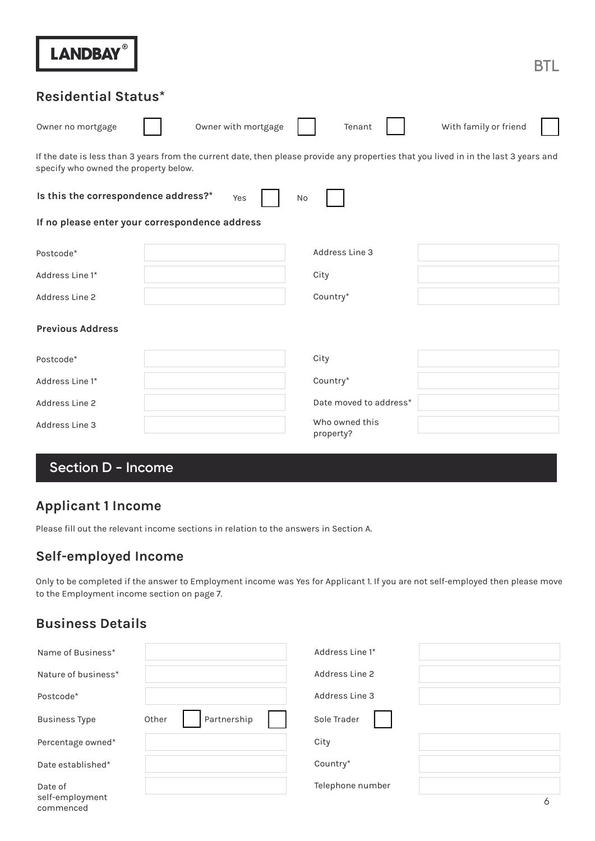| <b>LANDBAY®</b>                                | BTL                                                                                                                                  |
|------------------------------------------------|--------------------------------------------------------------------------------------------------------------------------------------|
| <b>Residential Status*</b>                     |                                                                                                                                      |
| Owner with mortgage<br>Owner no mortgage       | With family or friend<br>Tenant                                                                                                      |
| specify who owned the property below.          | If the date is less than 3 years from the current date, then please provide any properties that you lived in in the last 3 years and |
| Is this the correspondence address?*<br>Yes    | No                                                                                                                                   |
| If no please enter your correspondence address |                                                                                                                                      |
| Postcode*                                      | Address Line 3                                                                                                                       |
| Address Line 1*                                | City                                                                                                                                 |
| Address Line 2                                 | Country*                                                                                                                             |
| <b>Previous Address</b>                        |                                                                                                                                      |
| Postcode*                                      | City                                                                                                                                 |
| Address Line 1*                                | Country*                                                                                                                             |
| Address Line 2                                 | Date moved to address*                                                                                                               |
| Address Line 3                                 | Who owned this<br>property?                                                                                                          |

# **Section D - Income**

### **Applicant 1 Income**

Please fill out the relevant income sections in relation to the answers in Section A.

## **Self-employed Income**

Only to be completed if the answer to Employment income was Yes for Applicant 1. If you are not self-employed then please move to the Employment income section on page 7.

### **Business Details**

| Name of Business*            |                      | Address Line 1*  |  |
|------------------------------|----------------------|------------------|--|
| Nature of business*          |                      | Address Line 2   |  |
| Postcode*                    |                      | Address Line 3   |  |
| <b>Business Type</b>         | Partnership<br>Other | Sole Trader      |  |
| Percentage owned*            |                      | City             |  |
| Date established*            |                      | Country*         |  |
| Date of                      |                      | Telephone number |  |
| self-employment<br>commenced |                      |                  |  |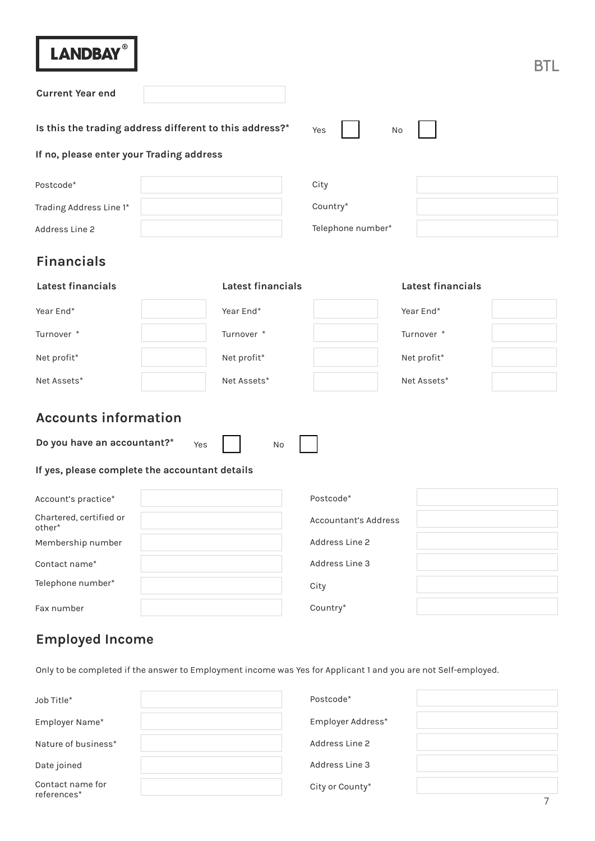| LANDBAY®                                                |                   |  |
|---------------------------------------------------------|-------------------|--|
| <b>Current Year end</b>                                 |                   |  |
| Is this the trading address different to this address?* | Yes<br>No         |  |
| If no, please enter your Trading address                |                   |  |
| Postcode*                                               | City              |  |
| Trading Address Line 1*                                 | Country*          |  |
| Address Line 2                                          | Telephone number* |  |

# **Financials**

| Latest financials | Latest financials | Latest financials |
|-------------------|-------------------|-------------------|
| Year End*         | Year End*         | Year End*         |
| Turnover *        | Turnover *        | Turnover *        |
| Net profit*       | Net profit*       | Net profit*       |
| Net Assets*       | Net Assets*       | Net Assets*       |

## **Accounts information**

**Do you have an accountant?\***

No

#### **If yes, please complete the accountant details**

Yes

| Account's practice*               | Postcode*            |
|-----------------------------------|----------------------|
| Chartered, certified or<br>other* | Accountant's Address |
| Membership number                 | Address Line 2       |
| Contact name*                     | Address Line 3       |
| Telephone number*                 | City                 |
| Fax number                        | Country*             |

### **Employed Income**

Only to be completed if the answer to Employment income was Yes for Applicant 1 and you are not Self-employed.

| Job Title*                      | Postcode*            |
|---------------------------------|----------------------|
| Employer Name*                  | Employer Address*    |
| Nature of business*             | Address Line 2       |
| Date joined                     | Address Line 3       |
| Contact name for<br>references* | City or County*<br>⇁ |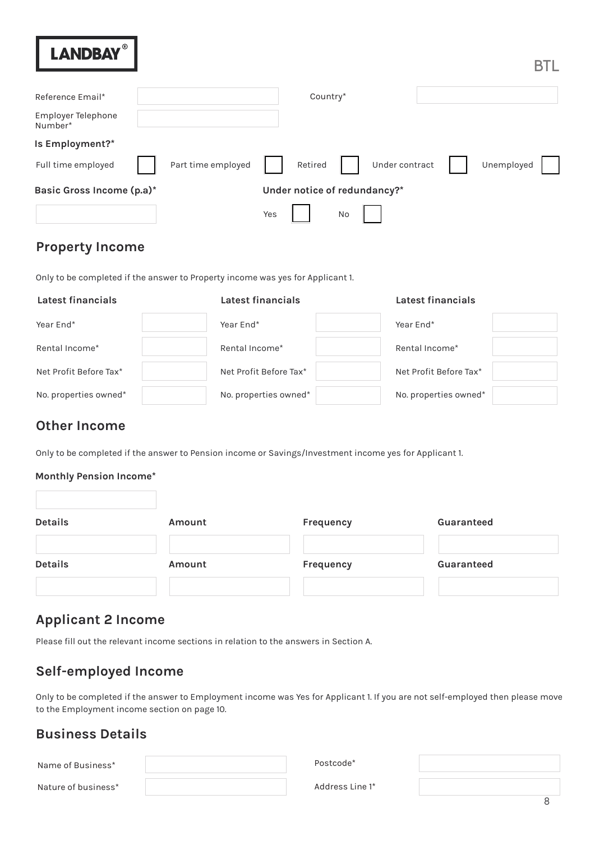| Reference Email*              |                    |     | Country*                     |    |                |            |  |
|-------------------------------|--------------------|-----|------------------------------|----|----------------|------------|--|
|                               |                    |     |                              |    |                |            |  |
| Employer Telephone<br>Number* |                    |     |                              |    |                |            |  |
| Is Employment?*               |                    |     |                              |    |                |            |  |
| Full time employed            | Part time employed |     | Retired                      |    | Under contract | Unemployed |  |
| Basic Gross Income (p.a)*     |                    |     | Under notice of redundancy?* |    |                |            |  |
|                               |                    | Yes |                              | No |                |            |  |

### **Property Income**

Only to be completed if the answer to Property income was yes for Applicant 1.

#### **Latest financials Latest financials Latest financials**  Year End\* Rental Income\* Net Profit Before Tax\* No. properties owned\* Year End\* Rental Income\* Net Profit Before Tax\* No. properties owned\* Year End\* Rental Income\* Net Profit Before Tax\* No. properties owned\*

### **Other Income**

Only to be completed if the answer to Pension income or Savings/Investment income yes for Applicant 1.

#### **Monthly Pension Income\***

| <b>Details</b> | Amount | Frequency | Guaranteed |
|----------------|--------|-----------|------------|
| <b>Details</b> | Amount | Frequency | Guaranteed |
|                |        |           |            |

### **Applicant 2 Income**

Please fill out the relevant income sections in relation to the answers in Section A.

### **Self-employed Income**

Only to be completed if the answer to Employment income was Yes for Applicant 1. If you are not self-employed then please move to the Employment income section on page 10.

### **Business Details**

Name of Business\*

Nature of business\*

Postcode\*

Address Line 1\*

8

**BTL**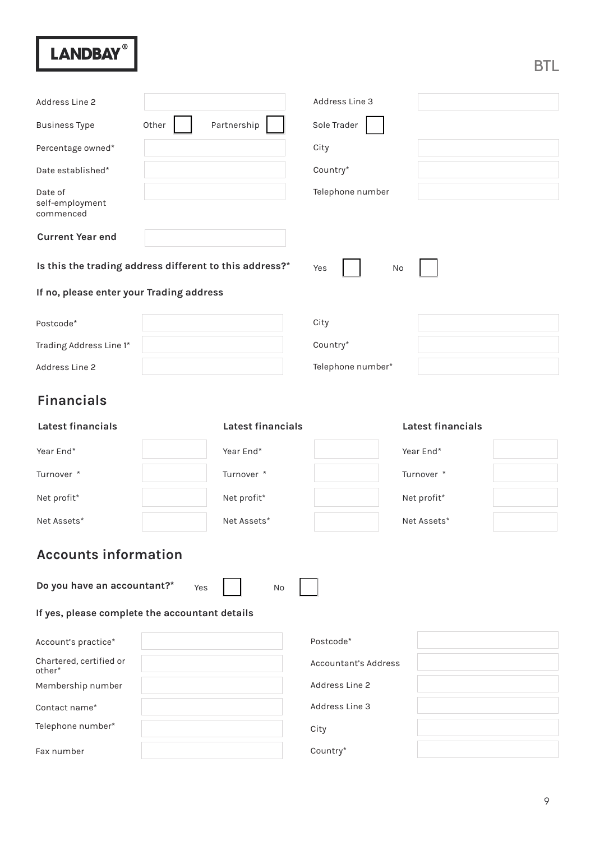| Address Line 2                                          |       |                   |  | Address Line 3       |    |                   |  |
|---------------------------------------------------------|-------|-------------------|--|----------------------|----|-------------------|--|
| <b>Business Type</b>                                    | Other | Partnership       |  | Sole Trader          |    |                   |  |
| Percentage owned*                                       |       |                   |  | City                 |    |                   |  |
| Date established*                                       |       |                   |  | Country*             |    |                   |  |
| Date of<br>self-employment<br>commenced                 |       |                   |  | Telephone number     |    |                   |  |
| <b>Current Year end</b>                                 |       |                   |  |                      |    |                   |  |
| Is this the trading address different to this address?* |       |                   |  | Yes                  | No |                   |  |
| If no, please enter your Trading address                |       |                   |  |                      |    |                   |  |
| Postcode*                                               |       |                   |  | City                 |    |                   |  |
| Trading Address Line 1*                                 |       |                   |  | Country*             |    |                   |  |
| Address Line 2                                          |       |                   |  | Telephone number*    |    |                   |  |
| <b>Financials</b>                                       |       |                   |  |                      |    |                   |  |
| Latest financials                                       |       | Latest financials |  |                      |    | Latest financials |  |
| Year End*                                               |       | Year End*         |  |                      |    | Year End*         |  |
| Turnover *                                              |       | Turnover *        |  |                      |    | Turnover *        |  |
| Net profit*                                             |       | Net profit*       |  |                      |    | Net profit*       |  |
| Net Assets*                                             |       | Net Assets*       |  |                      |    | Net Assets*       |  |
| <b>Accounts information</b>                             |       |                   |  |                      |    |                   |  |
| Do you have an accountant?*                             | Yes   | No                |  |                      |    |                   |  |
| If yes, please complete the accountant details          |       |                   |  |                      |    |                   |  |
| Account's practice*                                     |       |                   |  | Postcode*            |    |                   |  |
| Chartered, certified or<br>other*                       |       |                   |  | Accountant's Address |    |                   |  |
| Membership number                                       |       |                   |  | Address Line 2       |    |                   |  |
| Contact name*                                           |       |                   |  | Address Line 3       |    |                   |  |
| Telephone number*                                       |       |                   |  | City                 |    |                   |  |
| Fax number                                              |       |                   |  | Country*             |    |                   |  |

BTL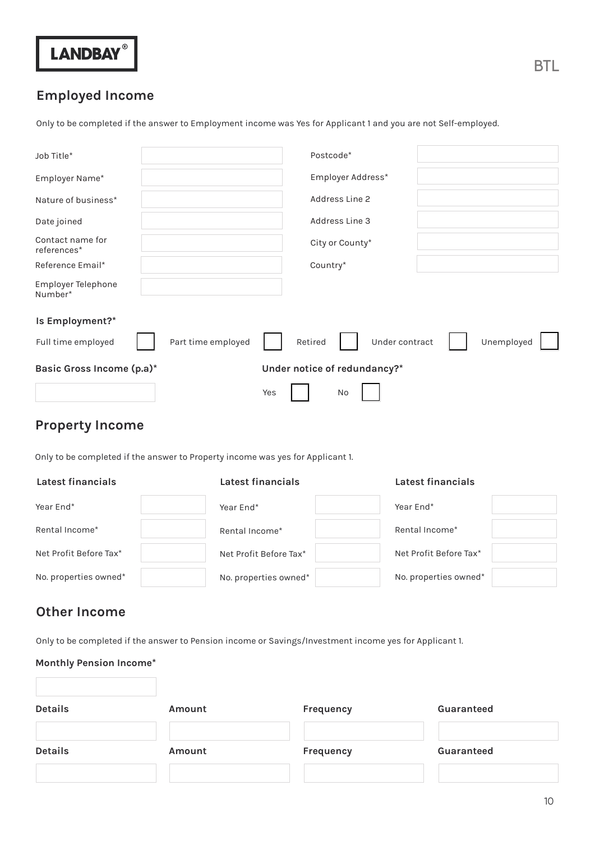

### **Employed Income**

Only to be completed if the answer to Employment income was Yes for Applicant 1 and you are not Self-employed.

| Job Title*                      |                    | Postcode*                    |            |
|---------------------------------|--------------------|------------------------------|------------|
| Employer Name*                  |                    | Employer Address*            |            |
| Nature of business*             |                    | Address Line 2               |            |
| Date joined                     |                    | Address Line 3               |            |
| Contact name for<br>references* |                    | City or County*              |            |
| Reference Email*                |                    | Country*                     |            |
| Employer Telephone<br>Number*   |                    |                              |            |
| Is Employment?*                 |                    |                              |            |
| Full time employed              | Part time employed | Under contract<br>Retired    | Unemployed |
| Basic Gross Income (p.a)*       |                    | Under notice of redundancy?* |            |
|                                 |                    | Yes<br>No                    |            |

### **Property Income**

Only to be completed if the answer to Property income was yes for Applicant 1.

| Latest financials      | Latest financials      | Latest financials      |  |
|------------------------|------------------------|------------------------|--|
| Year End*              | Year End*              | Year End*              |  |
| Rental Income*         | Rental Income*         | Rental Income*         |  |
| Net Profit Before Tax* | Net Profit Before Tax* | Net Profit Before Tax* |  |
| No. properties owned*  | No. properties owned*  | No. properties owned*  |  |

### **Other Income**

Only to be completed if the answer to Pension income or Savings/Investment income yes for Applicant 1.

| <b>Monthly Pension Income*</b> |        |                  |            |
|--------------------------------|--------|------------------|------------|
| <b>Details</b>                 | Amount | <b>Frequency</b> | Guaranteed |
| <b>Details</b>                 | Amount | Frequency        | Guaranteed |
|                                |        |                  |            |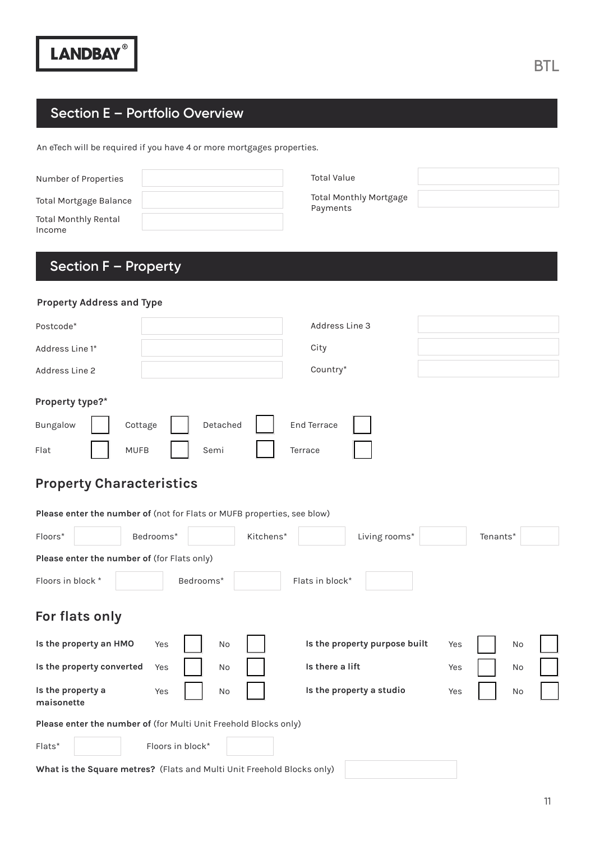# **Section E – Portfolio Overview**

An eTech will be required if you have 4 or more mortgages properties.

| Number of Properties           | <b>Total Value</b>                 |
|--------------------------------|------------------------------------|
| Total Mortgage Balance         | Total Monthly Mortgage<br>Payments |
| Total Monthly Rental<br>Income |                                    |

# **Section F – Property**

| <b>Property Address and Type</b>                                        |                  |           |                    |                               |     |          |  |
|-------------------------------------------------------------------------|------------------|-----------|--------------------|-------------------------------|-----|----------|--|
| Postcode*                                                               |                  |           | Address Line 3     |                               |     |          |  |
| Address Line 1*                                                         |                  |           | City               |                               |     |          |  |
| Address Line 2                                                          |                  |           | Country*           |                               |     |          |  |
| Property type?*                                                         |                  |           |                    |                               |     |          |  |
| <b>Bungalow</b>                                                         | Cottage          | Detached  | <b>End Terrace</b> |                               |     |          |  |
| Flat                                                                    | <b>MUFB</b>      | Semi      | Terrace            |                               |     |          |  |
| <b>Property Characteristics</b>                                         |                  |           |                    |                               |     |          |  |
| Please enter the number of (not for Flats or MUFB properties, see blow) |                  |           |                    |                               |     |          |  |
| Floors*                                                                 | Bedrooms*        | Kitchens* |                    | Living rooms*                 |     | Tenants* |  |
| Please enter the number of (for Flats only)                             |                  |           |                    |                               |     |          |  |
| Floors in block *                                                       | Bedrooms*        |           | Flats in block*    |                               |     |          |  |
| For flats only                                                          |                  |           |                    |                               |     |          |  |
| Is the property an HMO                                                  | Yes              | No        |                    | Is the property purpose built | Yes | No       |  |
| Is the property converted                                               | Yes              | No        | Is there a lift    |                               | Yes | No       |  |
| Is the property a<br>maisonette                                         | Yes              | No        |                    | Is the property a studio      | Yes | No       |  |
| Please enter the number of (for Multi Unit Freehold Blocks only)        |                  |           |                    |                               |     |          |  |
| $Flats*$                                                                | Floors in block* |           |                    |                               |     |          |  |
| What is the Square metres? (Flats and Multi Unit Freehold Blocks only)  |                  |           |                    |                               |     |          |  |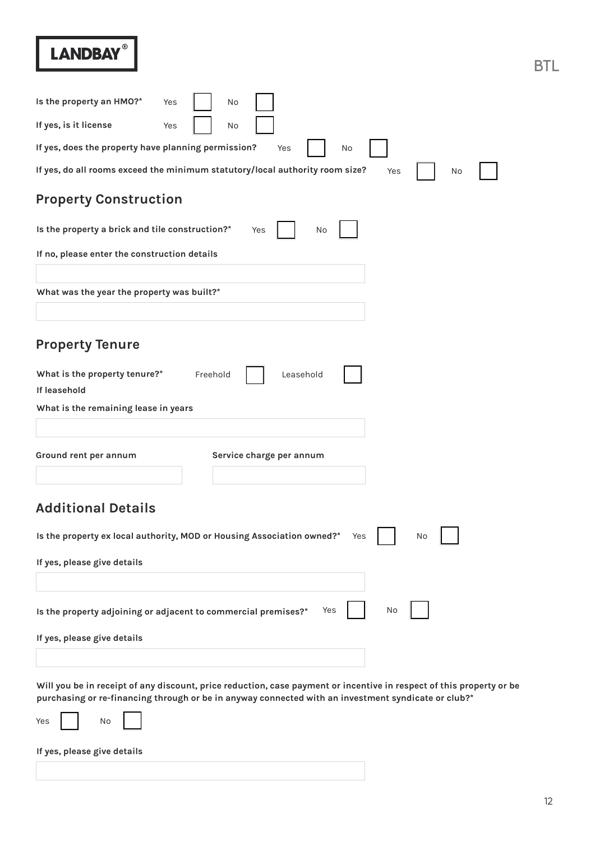| Is the property an HMO?*<br>Yes<br>No                                                                                                                                                                                       |
|-----------------------------------------------------------------------------------------------------------------------------------------------------------------------------------------------------------------------------|
| If yes, is it license<br>Yes<br>No                                                                                                                                                                                          |
| If yes, does the property have planning permission?<br>Yes<br>No                                                                                                                                                            |
| If yes, do all rooms exceed the minimum statutory/local authority room size?<br>Yes<br>No                                                                                                                                   |
| <b>Property Construction</b>                                                                                                                                                                                                |
| Is the property a brick and tile construction?*<br>Yes<br>No                                                                                                                                                                |
| If no, please enter the construction details                                                                                                                                                                                |
|                                                                                                                                                                                                                             |
| What was the year the property was built?*                                                                                                                                                                                  |
|                                                                                                                                                                                                                             |
| <b>Property Tenure</b>                                                                                                                                                                                                      |
| What is the property tenure?*<br>Freehold<br>Leasehold<br>If leasehold                                                                                                                                                      |
| What is the remaining lease in years                                                                                                                                                                                        |
|                                                                                                                                                                                                                             |
| Service charge per annum<br>Ground rent per annum                                                                                                                                                                           |
|                                                                                                                                                                                                                             |
| <b>Additional Details</b>                                                                                                                                                                                                   |
| Is the property ex local authority, MOD or Housing Association owned?*<br>Yes<br>No                                                                                                                                         |
| If yes, please give details                                                                                                                                                                                                 |
|                                                                                                                                                                                                                             |
| No<br>Is the property adjoining or adjacent to commercial premises?*<br>Yes                                                                                                                                                 |
| If yes, please give details                                                                                                                                                                                                 |
|                                                                                                                                                                                                                             |
| Will you be in receipt of any discount, price reduction, case payment or incentive in respect of this property or be<br>purchasing or re-financing through or be in anyway connected with an investment syndicate or club?* |
| No<br>Yes                                                                                                                                                                                                                   |
| If yes, please give details                                                                                                                                                                                                 |
|                                                                                                                                                                                                                             |

BTL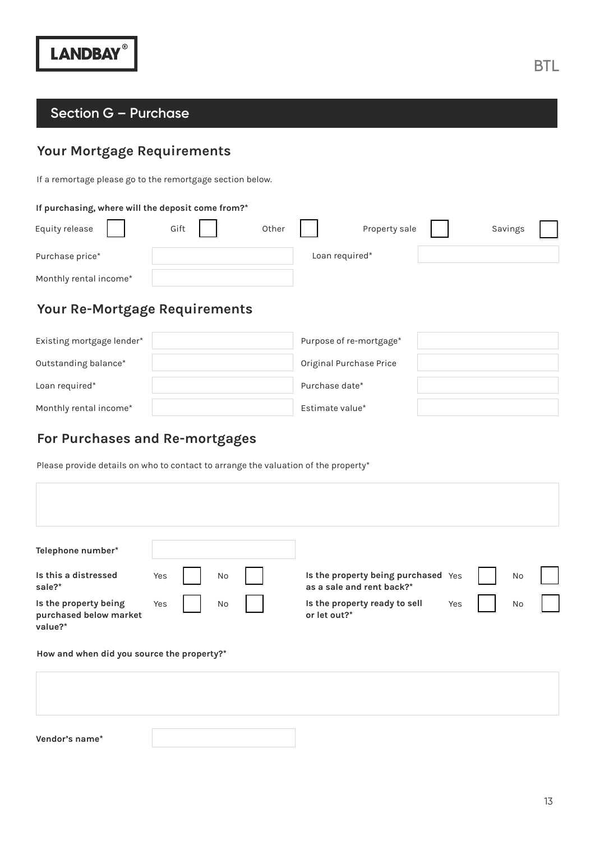### **Section G – Purchase**

# **Your Mortgage Requirements**

If a remortage please go to the remortgage section below.

#### **If purchasing, where will the deposit come from?\***

| Equity release         | Gift | Other |                | Property sale | Savings |
|------------------------|------|-------|----------------|---------------|---------|
| Purchase price*        |      |       | Loan required* |               |         |
| Monthly rental income* |      |       |                |               |         |

### **Your Re-Mortgage Requirements**

| Existing mortgage lender* | Purpose of re-mortgage* |
|---------------------------|-------------------------|
| Outstanding balance*      | Original Purchase Price |
| Loan required*            | Purchase date*          |
| Monthly rental income*    | Estimate value*         |

### **For Purchases and Re-mortgages**

Please provide details on who to contact to arrange the valuation of the property\*

| Telephone number*<br>Is this a distressed<br>sale?*        | Yes | No | Is the property being purchased Yes<br>as a sale and rent back?* |     | No |  |
|------------------------------------------------------------|-----|----|------------------------------------------------------------------|-----|----|--|
| Is the property being<br>purchased below market<br>value?* | Yes | No | Is the property ready to sell<br>or let out?*                    | Yes | No |  |
| How and when did you source the property?*                 |     |    |                                                                  |     |    |  |

**Vendor's name\***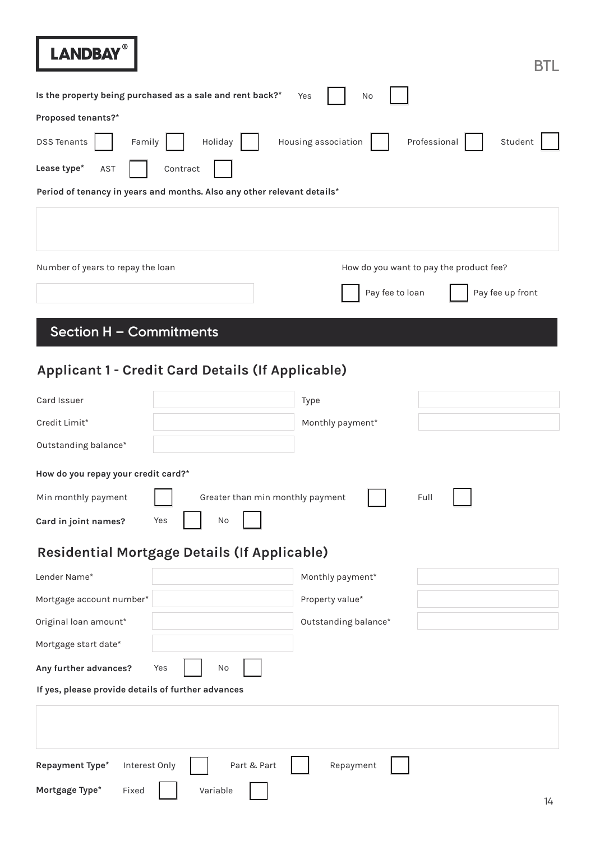| Proposed tenants?*<br><b>DSS Tenants</b><br>Family<br>Lease type*<br>Contract<br>AST<br>Period of tenancy in years and months. Also any other relevant details* | Housing association<br>Holiday   | No<br>Professional<br>Student                                                  |
|-----------------------------------------------------------------------------------------------------------------------------------------------------------------|----------------------------------|--------------------------------------------------------------------------------|
| Number of years to repay the loan                                                                                                                               |                                  | How do you want to pay the product fee?<br>Pay fee to loan<br>Pay fee up front |
| Section H - Commitments                                                                                                                                         |                                  |                                                                                |
| Applicant 1 - Credit Card Details (If Applicable)                                                                                                               |                                  |                                                                                |
| Card Issuer                                                                                                                                                     | Type                             |                                                                                |
| Credit Limit*                                                                                                                                                   | Monthly payment*                 |                                                                                |
| Outstanding balance*                                                                                                                                            |                                  |                                                                                |
| How do you repay your credit card?*                                                                                                                             |                                  |                                                                                |
| Min monthly payment                                                                                                                                             | Greater than min monthly payment | Full                                                                           |
| Yes<br>Card in joint names?                                                                                                                                     | No                               |                                                                                |
| Residential Mortgage Details (If Applicable)                                                                                                                    |                                  |                                                                                |
| Lender Name*                                                                                                                                                    | Monthly payment*                 |                                                                                |
| Mortgage account number*                                                                                                                                        | Property value*                  |                                                                                |
| Original loan amount*                                                                                                                                           | Outstanding balance*             |                                                                                |
| Mortgage start date*                                                                                                                                            |                                  |                                                                                |
| Any further advances?<br>Yes                                                                                                                                    | No                               |                                                                                |
| If yes, please provide details of further advances                                                                                                              |                                  |                                                                                |
|                                                                                                                                                                 |                                  |                                                                                |
| Interest Only<br>Repayment Type*<br>Mortgage Type*<br>Variable<br>Fixed                                                                                         | Part & Part<br>Repayment         |                                                                                |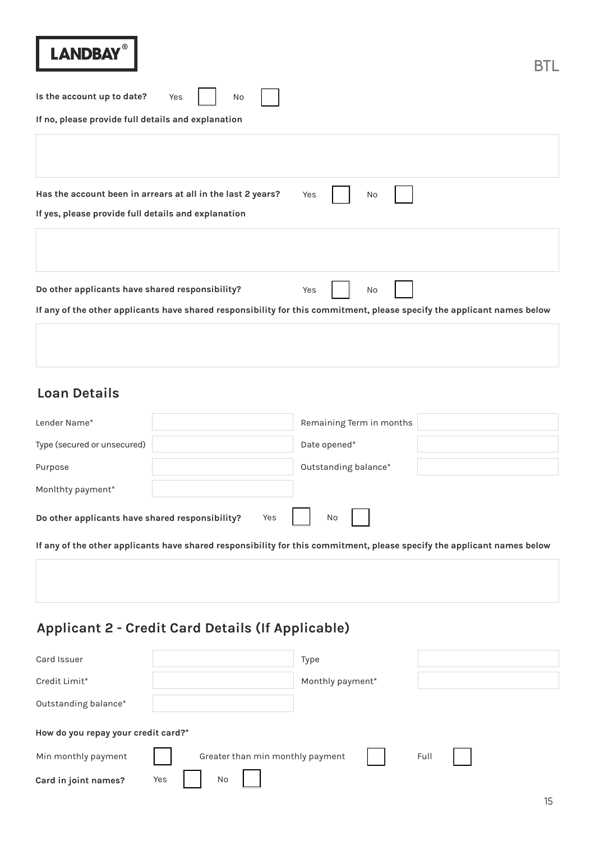| <b>LANDBAY</b>                                                                                                          |     |    |  |
|-------------------------------------------------------------------------------------------------------------------------|-----|----|--|
| Is the account up to date?<br>Yes<br>No<br>If no, please provide full details and explanation                           |     |    |  |
|                                                                                                                         |     |    |  |
| Has the account been in arrears at all in the last 2 years?<br>If yes, please provide full details and explanation      | Yes | No |  |
|                                                                                                                         |     |    |  |
| Do other applicants have shared responsibility?                                                                         | Yes | No |  |
| If any of the other applicants have shared responsibility for this commitment, please specify the applicant names below |     |    |  |

# **Loan Details**

| Lender Name*                                                                                                            | Remaining Term in months |
|-------------------------------------------------------------------------------------------------------------------------|--------------------------|
| Type (secured or unsecured)                                                                                             | Date opened*             |
| Purpose                                                                                                                 | Outstanding balance*     |
| Monithty payment*                                                                                                       |                          |
| Yes<br>Do other applicants have shared responsibility?                                                                  | No                       |
| If any of the other applicants have shared responsibility for this commitment, please specify the applicant names below |                          |

# **Applicant 2 - Credit Card Details (If Applicable)**

| Card Issuer                         | Type                                     |
|-------------------------------------|------------------------------------------|
| Credit Limit*                       | Monthly payment*                         |
| Outstanding balance*                |                                          |
| How do you repay your credit card?* |                                          |
| Min monthly payment                 | Full<br>Greater than min monthly payment |
| Card in joint names?                | No<br>Yes                                |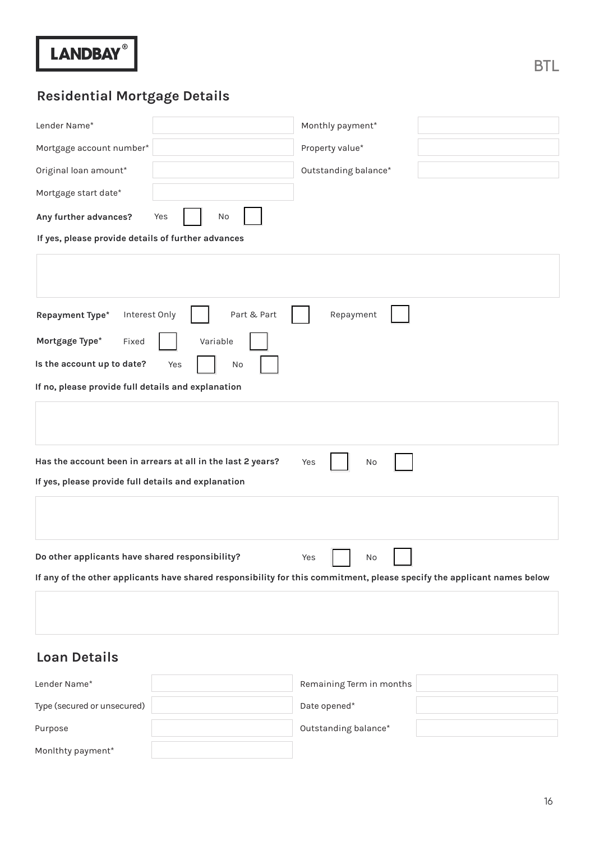| Lender Name*                                                                                                            | Monthly payment*     |  |  |  |
|-------------------------------------------------------------------------------------------------------------------------|----------------------|--|--|--|
| Mortgage account number*                                                                                                | Property value*      |  |  |  |
| Original loan amount*                                                                                                   | Outstanding balance* |  |  |  |
| Mortgage start date*                                                                                                    |                      |  |  |  |
| Any further advances?<br>Yes<br>No                                                                                      |                      |  |  |  |
| If yes, please provide details of further advances                                                                      |                      |  |  |  |
|                                                                                                                         |                      |  |  |  |
| Interest Only<br>Part & Part<br>Repayment<br>Repayment Type*                                                            |                      |  |  |  |
| Mortgage Type*<br>Variable<br>Fixed                                                                                     |                      |  |  |  |
| Is the account up to date?<br>Yes<br>No                                                                                 |                      |  |  |  |
| If no, please provide full details and explanation                                                                      |                      |  |  |  |
|                                                                                                                         |                      |  |  |  |
| Has the account been in arrears at all in the last 2 years?                                                             | Yes<br>No            |  |  |  |
| If yes, please provide full details and explanation                                                                     |                      |  |  |  |
|                                                                                                                         |                      |  |  |  |
| Do other applicants have shared responsibility?                                                                         | Yes<br>No            |  |  |  |
| If any of the other applicants have shared responsibility for this commitment, please specify the applicant names below |                      |  |  |  |
|                                                                                                                         |                      |  |  |  |

# **Loan Details**

| Lender Name*                | Remaining Term in months |
|-----------------------------|--------------------------|
| Type (secured or unsecured) | Date opened*             |
| Purpose                     | Outstanding balance*     |
| Monithty payment*           |                          |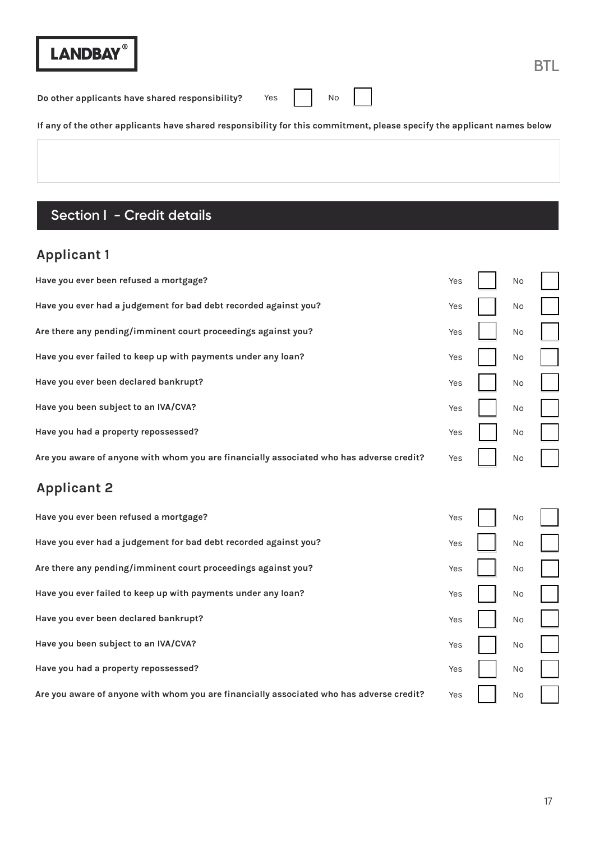**Do other applicants have shared responsibility?** Yes  $\begin{bmatrix} \cdot & \cdot & \cdot \\ \cdot & \cdot & \cdot \\ \cdot & \cdot & \cdot \end{bmatrix}$  No

**If any of the other applicants have shared responsibility for this commitment, please specify the applicant names below**

# **Section I - Credit details**

# **Applicant 1**

| Have you ever been refused a mortgage?                                                   | Yes | No |  |
|------------------------------------------------------------------------------------------|-----|----|--|
| Have you ever had a judgement for bad debt recorded against you?                         | Yes | No |  |
| Are there any pending/imminent court proceedings against you?                            | Yes | No |  |
| Have you ever failed to keep up with payments under any loan?                            | Yes | No |  |
| Have you ever been declared bankrupt?                                                    | Yes | No |  |
| Have you been subject to an IVA/CVA?                                                     | Yes | No |  |
| Have you had a property repossessed?                                                     | Yes | No |  |
| Are you aware of anyone with whom you are financially associated who has adverse credit? | Yes | No |  |
|                                                                                          |     |    |  |
| <b>Applicant 2</b>                                                                       |     |    |  |
| Have you ever been refused a mortgage?                                                   | Yes | No |  |
| Have you ever had a judgement for bad debt recorded against you?                         | Yes | No |  |
| Are there any pending/imminent court proceedings against you?                            | Yes | No |  |
| Have you ever failed to keep up with payments under any loan?                            | Yes | No |  |
| Have you ever been declared bankrupt?                                                    | Yes | No |  |
| Have you been subject to an IVA/CVA?                                                     | Yes | No |  |
| Have you had a property repossessed?                                                     | Yes | No |  |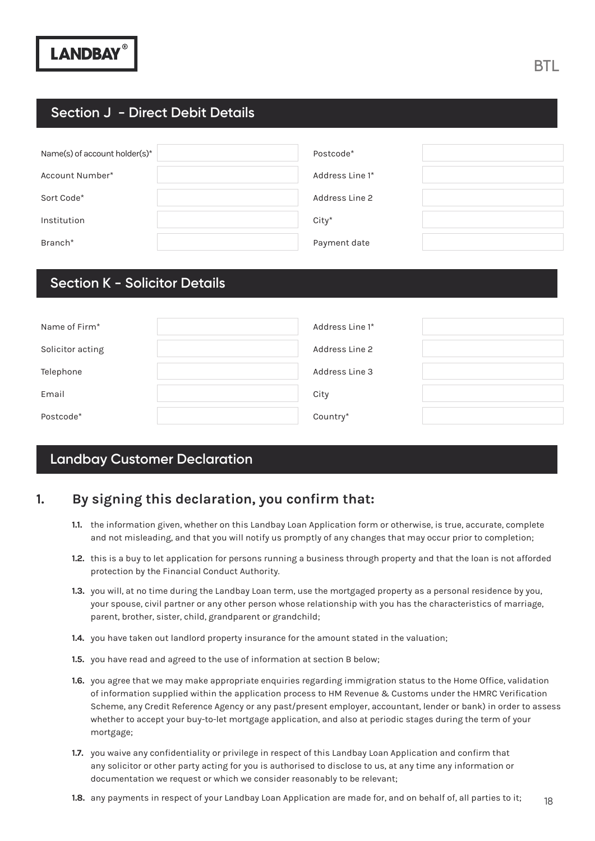### **Section J - Direct Debit Details**

| Name(s) of account holder(s)* | Postcode*       |
|-------------------------------|-----------------|
| Account Number*               | Address Line 1* |
| Sort Code*                    | Address Line 2  |
| Institution                   | $City*$         |
| Branch <sup>*</sup>           | Payment date    |

### **Section K - Solicitor Details**

| Name of Firm <sup>*</sup> | Address Line 1* |
|---------------------------|-----------------|
| Solicitor acting          | Address Line 2  |
| Telephone                 | Address Line 3  |
| Email                     | City            |
| Postcode*                 | Country*        |

### **Landbay Customer Declaration**

### **1. By signing this declaration, you confirm that:**

- 1.1. the information given, whether on this Landbay Loan Application form or otherwise, is true, accurate, complete and not misleading, and that you will notify us promptly of any changes that may occur prior to completion;
- **1.2.** this is a buy to let application for persons running a business through property and that the loan is not afforded protection by the Financial Conduct Authority.
- 1.3. you will, at no time during the Landbay Loan term, use the mortgaged property as a personal residence by you, your spouse, civil partner or any other person whose relationship with you has the characteristics of marriage, parent, brother, sister, child, grandparent or grandchild;
- 1.4. you have taken out landlord property insurance for the amount stated in the valuation;
- 1.5. you have read and agreed to the use of information at section B below;
- 1.6. you agree that we may make appropriate enquiries regarding immigration status to the Home Office, validation of information supplied within the application process to HM Revenue & Customs under the HMRC Verification Scheme, any Credit Reference Agency or any past/present employer, accountant, lender or bank) in order to assess whether to accept your buy-to-let mortgage application, and also at periodic stages during the term of your mortgage;
- 1.7. you waive any confidentiality or privilege in respect of this Landbay Loan Application and confirm that any solicitor or other party acting for you is authorised to disclose to us, at any time any information or documentation we request or which we consider reasonably to be relevant;
- 18 1.8. any payments in respect of your Landbay Loan Application are made for, and on behalf of, all parties to it;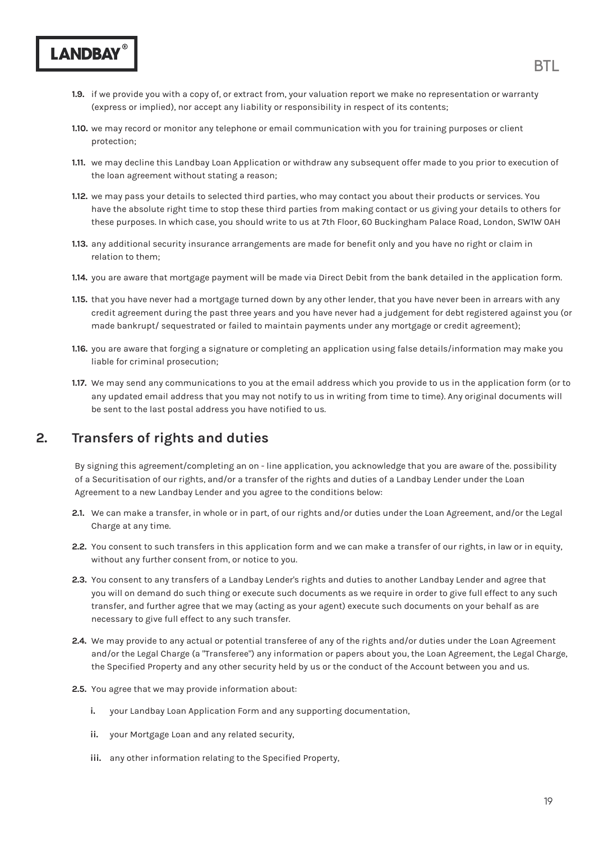- **Section J Direct Details Inc.**<br>(express or implied), nor accept any liability or responsibility in respect of its contents; **1.9.** If we provide you with a copy of, or extract from, your valuation report we make no representation or warranty
	- 1.10. we may record or monitor any telephone or email communication with you for training purposes or client protection;
	- 1.11. we may decline this Landbay Loan Application or withdraw any subsequent offer made to you prior to execution of the loan agreement without stating a reason;
	- 1.12. we may pass your details to selected third parties, who may contact you about their products or services. You have the absolute right time to stop these third parties from making contact or us giving your details to others for these purposes. In which case, you should write to us at 7th Floor, 60 Buckingham Palace Road, London, SW1W 0AH
	- 1.13. any additional security insurance arrangements are made for benefit only and you have no right or claim in relation to them;
	- **1.14.** you are aware that mortgage payment will be made via Direct Debit from the bank detailed in the application form.
	- that you have never had a mortgage turned down by any other lender, that you have never been in arrears with any **1.15.** credit agreement during the past three years and you have never had a judgement for debt registered against you (or made bankrupt/ sequestrated or failed to maintain payments under any mortgage or credit agreement);
	- 1.16. you are aware that forging a signature or completing an application using false details/information may make you liable for criminal prosecution;
	- 1.17. We may send any communications to you at the email address which you provide to us in the application form (or to any updated email address that you may not notify to us in writing from time to time). Any original documents will be sent to the last postal address you have notified to us.

### **2. Transfers of rights and duties**

**LANDBAY** 

By signing this agreement/completing an on - line application, you acknowledge that you are aware of the. possibility of a Securitisation of our rights, and/or a transfer of the rights and duties of a Landbay Lender under the Loan Agreement to a new Landbay Lender and you agree to the conditions below:

- We can make a transfer, in whole or in part, of our rights and/or duties under the Loan Agreement, and/or the Legal **2.1.** Charge at any time.
- You consent to such transfers in this application form and we can make a transfer of our rights, in law or in equity, **2.2.** without any further consent from, or notice to you.
- You consent to any transfers of a Landbay Lender's rights and duties to another Landbay Lender and agree that **2.3.** you will on demand do such thing or execute such documents as we require in order to give full effect to any such transfer, and further agree that we may (acting as your agent) execute such documents on your behalf as are necessary to give full effect to any such transfer.
- We may provide to any actual or potential transferee of any of the rights and/or duties under the Loan Agreement **2.4.** and/or the Legal Charge (a "Transferee") any information or papers about you, the Loan Agreement, the Legal Charge, the Specified Property and any other security held by us or the conduct of the Account between you and us.
- 2.5. You agree that we may provide information about:
	- your Landbay Loan Application Form and any supporting documentation, **i.**
	- ii. your Mortgage Loan and any related security,
	- iii. any other information relating to the Specified Property,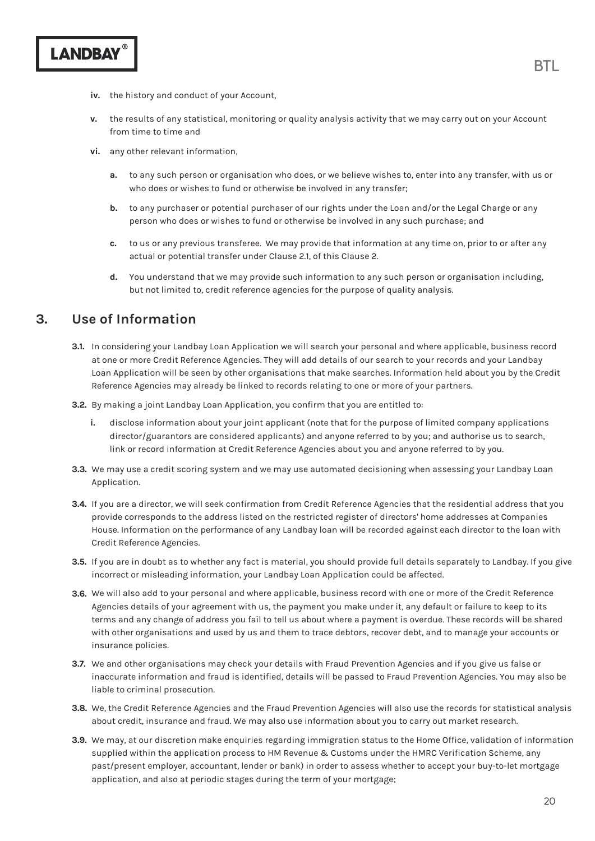- iv. the history and conduct of your Account,
- the results of any statistical, monitoring or quality analysis activity that we may carry out on your Account from time to time and **v.**
- vi. any other relevant information,
	- to any such person or organisation who does, or we believe wishes to, enter into any transfer, with us or **a.** who does or wishes to fund or otherwise be involved in any transfer;
	- to any purchaser or potential purchaser of our rights under the Loan and/or the Legal Charge or any **b.** person who does or wishes to fund or otherwise be involved in any such purchase; and
	- to us or any previous transferee. We may provide that information at any time on, prior to or after any **c.** actual or potential transfer under Clause 2.1, of this Clause 2.
	- You understand that we may provide such information to any such person or organisation including, but not limited to, credit reference agencies for the purpose of quality analysis. **d.**

### **3. Use of Information**

- In considering your Landbay Loan Application we will search your personal and where applicable, business record **3.1.** at one or more Credit Reference Agencies. They will add details of our search to your records and your Landbay Loan Application will be seen by other organisations that make searches. Information held about you by the Credit Reference Agencies may already be linked to records relating to one or more of your partners.
- **3.2.** By making a joint Landbay Loan Application, you confirm that you are entitled to:
	- disclose information about your joint applicant (note that for the purpose of limited company applications director/guarantors are considered applicants) and anyone referred to by you; and authorise us to search, link or record information at Credit Reference Agencies about you and anyone referred to by you. **i.**
- **3.3.** We may use a credit scoring system and we may use automated decisioning when assessing your Landbay Loan Application.
- If you are a director, we will seek confirmation from Credit Reference Agencies that the residential address that you **3.4.** provide corresponds to the address listed on the restricted register of directors' home addresses at Companies House. Information on the performance of any Landbay loan will be recorded against each director to the loan with Credit Reference Agencies.
- If you are in doubt as to whether any fact is material, you should provide full details separately to Landbay. If you give **3.5.** incorrect or misleading information, your Landbay Loan Application could be affected.
- We will also add to your personal and where applicable, business record with one or more of the Credit Reference **3.6.** Agencies details of your agreement with us, the payment you make under it, any default or failure to keep to its terms and any change of address you fail to tell us about where a payment is overdue. These records will be shared with other organisations and used by us and them to trace debtors, recover debt, and to manage your accounts or insurance policies.
- We and other organisations may check your details with Fraud Prevention Agencies and if you give us false or **3.7.** inaccurate information and fraud is identified, details will be passed to Fraud Prevention Agencies. You may also be liable to criminal prosecution.
- We, the Credit Reference Agencies and the Fraud Prevention Agencies will also use the records for statistical analysis **3.8.** about credit, insurance and fraud. We may also use information about you to carry out market research.
- **3.9.** We may, at our discretion make enquiries regarding immigration status to the Home Office, validation of information supplied within the application process to HM Revenue & Customs under the HMRC Verification Scheme, any past/present employer, accountant, lender or bank) in order to assess whether to accept your buy-to-let mortgage application, and also at periodic stages during the term of your mortgage;